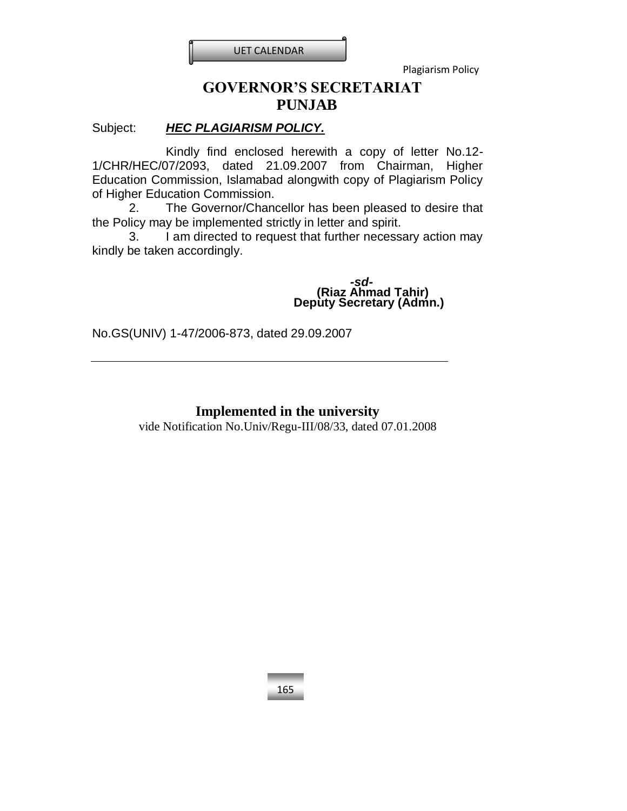

# **GOVERNOR'S SECRETARIAT PUNJAB**

# Subject: *HEC PLAGIARISM POLICY.*

Kindly find enclosed herewith a copy of letter No.12- 1/CHR/HEC/07/2093, dated 21.09.2007 from Chairman, Higher Education Commission, Islamabad alongwith copy of Plagiarism Policy of Higher Education Commission.

2. The Governor/Chancellor has been pleased to desire that the Policy may be implemented strictly in letter and spirit.

3. I am directed to request that further necessary action may kindly be taken accordingly.

> *-sd-* **(Riaz Ahmad Tahir) Deputy Secretary (Admn.)**

No.GS(UNIV) 1-47/2006-873, dated 29.09.2007

# **Implemented in the university**

vide Notification No.Univ/Regu-III/08/33, dated 07.01.2008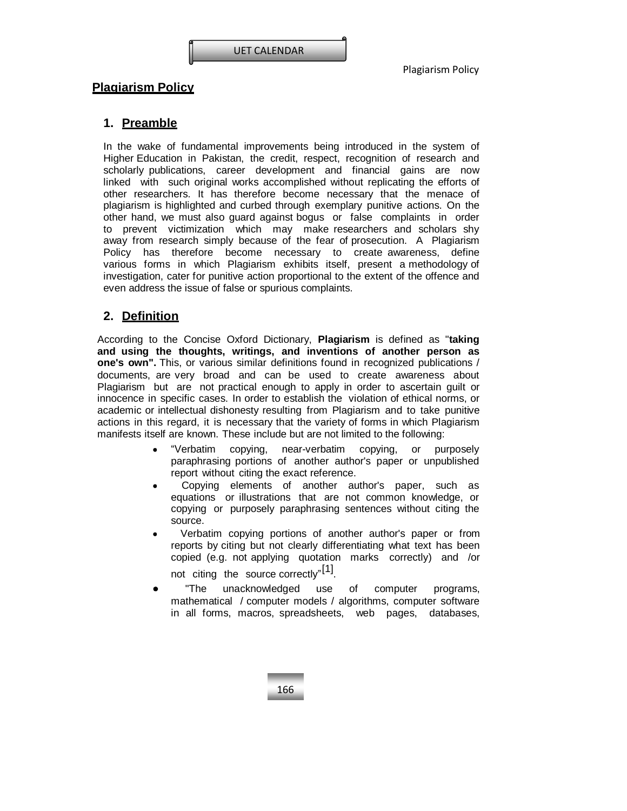# **1. Preamble**

In the wake of fundamental improvements being introduced in the system of Higher Education in Pakistan, the credit, respect, recognition of research and scholarly publications, career development and financial gains are now linked with such original works accomplished without replicating the efforts of other researchers. It has therefore become necessary that the menace of plagiarism is highlighted and curbed through exemplary punitive actions. On the other hand, we must also guard against bogus or false complaints in order to prevent victimization which may make researchers and scholars shy away from research simply because of the fear of prosecution. A Plagiarism Policy has therefore become necessary to create awareness, define various forms in which Plagiarism exhibits itself, present a methodology of investigation, cater for punitive action proportional to the extent of the offence and even address the issue of false or spurious complaints.

# **2. Definition**

According to the Concise Oxford Dictionary, **Plagiarism** is defined as "**taking and using the thoughts, writings, and inventions of another person as one's own".** This, or various similar definitions found in recognized publications / documents, are very broad and can be used to create awareness about Plagiarism but are not practical enough to apply in order to ascertain guilt or innocence in specific cases. In order to establish the violation of ethical norms, or academic or intellectual dishonesty resulting from Plagiarism and to take punitive actions in this regard, it is necessary that the variety of forms in which Plagiarism manifests itself are known. These include but are not limited to the following:

- "Verbatim copying, near-verbatim copying, or purposely paraphrasing portions of another author's paper or unpublished report without citing the exact reference.
- Copying elements of another author's paper, such as equations or illustrations that are not common knowledge, or copying or purposely paraphrasing sentences without citing the source.
- Verbatim copying portions of another author's paper or from reports by citing but not clearly differentiating what text has been copied (e.g. not applying quotation marks correctly) and /or

not citing the source correctly"<sup>[1]</sup>.

 "The unacknowledged use of computer programs, mathematical / computer models / algorithms, computer software in all forms, macros, spreadsheets, web pages, databases,

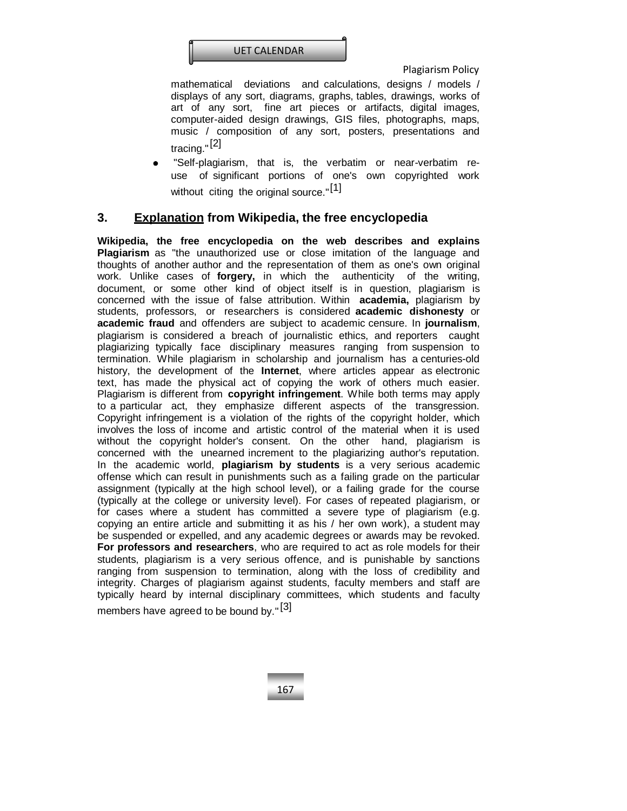

mathematical deviations and calculations, designs / models / displays of any sort, diagrams, graphs, tables, drawings, works of art of any sort, fine art pieces or artifacts, digital images, computer-aided design drawings, GIS files, photographs, maps, music / composition of any sort, posters, presentations and tracing."<sup>[2]</sup>

 "Self-plagiarism, that is, the verbatim or near-verbatim reuse of significant portions of one's own copyrighted work without citing the original source."<sup>[1]</sup>

# **3. Explanation from Wikipedia, the free encyclopedia**

**Wikipedia, the free encyclopedia on the web describes and explains Plagiarism** as "the unauthorized use or close imitation of the language and thoughts of another author and the representation of them as one's own original work. Unlike cases of **[forgery,](http://en.wikipedia.org/wiki/Forgery)** in which the authenticity of the writing, document, or some other kind of object itself is in question, plagiarism is concerned with the issue of false attribution. Within **[academia,](http://en.wikipedia.org/wiki/Academia)** plagiarism by students, professors, or researchers is considered **academic [dishonesty](http://en.wikipedia.org/wiki/Academic_dishonesty)** or **[academic](http://en.wikipedia.org/wiki/Academic_fraud) fraud** and offenders are subject to academic censure. In **[journalism](http://en.wikipedia.org/wiki/Journalism)**, plagiarism is considered a breach of journalistic ethics, and reporters caught [plagiarizing ty](http://en.wikipedia.org/wiki/Journalism_scandal)pically face disciplinary measures ranging from suspension to termination. While plagiarism in scholarship and journalism has a centuries-old history, the development of the **[Internet](http://en.wikipedia.org/wiki/Internet)**, where articles appear as electronic text, has made the physical act of copying the work of others much easier. Plagiarism is different from **copyright [infringement](http://en.wikipedia.org/wiki/Copyright_infringement)**. While both terms may apply to a particular act, they emphasize different aspects of the transgression. Copyright infringement is a violation of the rights of the copyright holder, which involves the loss of income and artistic control of the material when it is used without the copyright holder's consent. On the other hand, plagiarism is concerned with the unearned increment to the plagiarizing author's [reputation.](http://en.wikipedia.org/wiki/Reputation) In the academic world, **plagiarism by students** is a very serious academic offense which can result in punishments such as a failing grade on the particular assignment (typically at the high school level), or a failing grade for the course (typically at the college or university level). For cases of repeated plagiarism, or for cases where a student has committed a severe type of plagiarism (e.g. copying an entire article and submitting it as his / her own work), a student may be suspended or expelled, and any academic degrees or awards may be revoked. **For professors and researchers**, who are required to act as role models for their students, plagiarism is a very serious offence, and is punishable by sanctions ranging from suspension to termination, along with the loss of credibility and integrity. Charges of plagiarism against students, faculty members and staff are typically heard by internal disciplinary committees, which students and faculty members have agreed to be bound by."<sup>[3]</sup>

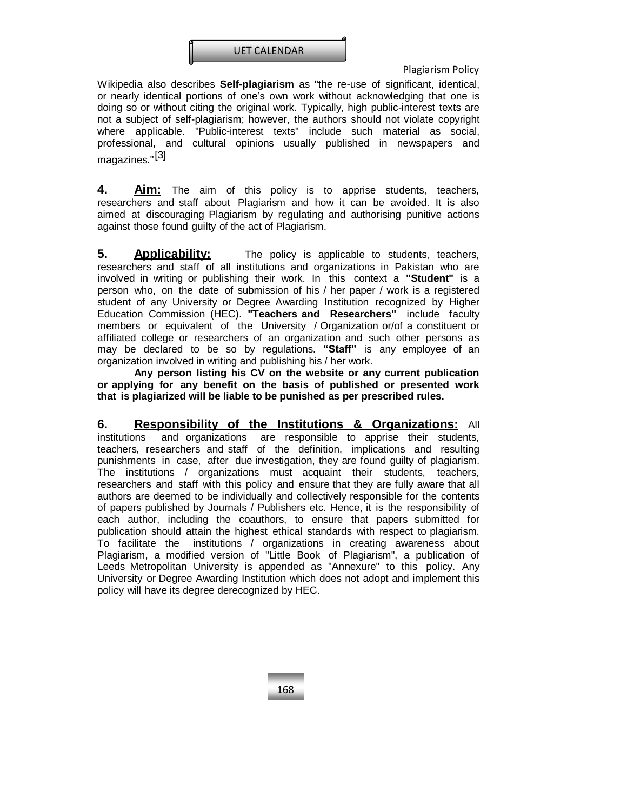

Wikipedia also describes **Self-plagiarism** as "the re-use of significant, identical, or nearly identical portions of one's own work without acknowledging that one is doing so or without citing the original work. Typically, high public-interest texts are not a subject of self-plagiarism; however, the authors should not violate copyright where applicable. "Public-interest texts" include such material as social, professional, and cultural opinions usually published in newspapers and magazines."<sup>[3]</sup>

**4. Aim:** The aim of this policy is to apprise students, teachers, researchers and staff about Plagiarism and how it can be avoided. It is also aimed at discouraging Plagiarism by regulating and authorising punitive actions against those found guilty of the act of Plagiarism.

**5. Applicability:** The policy is applicable to students, teachers, researchers and staff of all institutions and organizations in Pakistan who are involved in writing or publishing their work. In this context a **"Student"** is a person who, on the date of submission of his / her paper / work is a registered student of any University or Degree Awarding Institution recognized by Higher Education Commission (HEC). **"Teachers and Researchers"** include faculty members or equivalent of the University / Organization or/of a constituent or affiliated college or researchers of an organization and such other persons as may be declared to be so by regulations. **"Staff"** is any employee of an organization involved in writing and publishing his / her work.

**Any person listing his CV on the website or any current publication or applying for any benefit on the basis of published or presented work that is plagiarized will be liable to be punished as per prescribed rules.**

**6. Responsibility of the Institutions & Organizations:** All institutions and organizations are responsible to apprise their students, teachers, researchers and staff of the definition, implications and resulting punishments in case, after due investigation, they are found guilty of plagiarism. The institutions / organizations must acquaint their students, teachers, researchers and staff with this policy and ensure that they are fully aware that all authors are deemed to be individually and collectively responsible for the contents of papers published by Journals / Publishers etc. Hence, it is the responsibility of each author, including the coauthors, to ensure that papers submitted for publication should attain the highest ethical standards with respect to plagiarism. To facilitate the institutions / organizations in creating awareness about Plagiarism, a modified version of "Little Book of Plagiarism", a publication of Leeds Metropolitan University is appended as "Annexure" to this policy. Any University or Degree Awarding Institution which does not adopt and implement this policy will have its degree derecognized by HEC.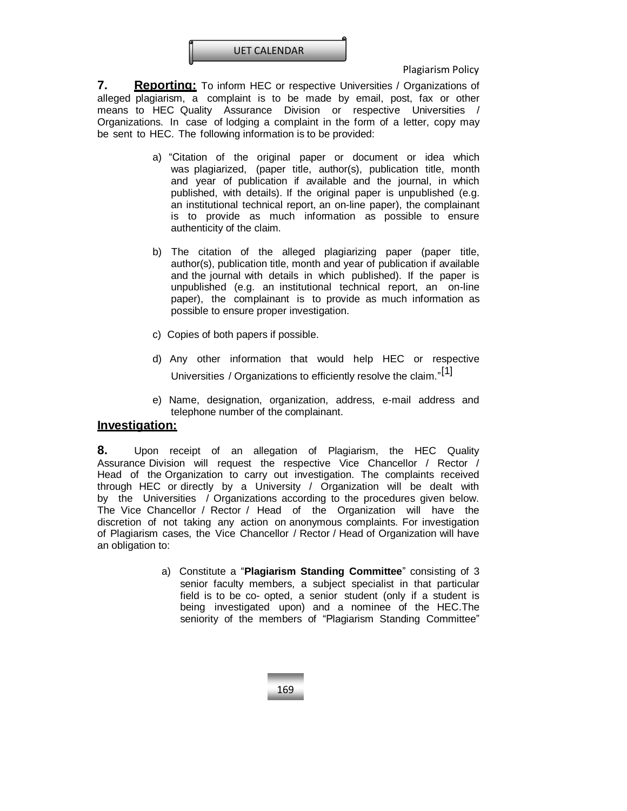

**7. Reporting:** To inform HEC or respective Universities / Organizations of alleged plagiarism, a complaint is to be made by email, post, fax or other means to [HEC](mailto:mandelbaum@hq.acm.org) [Quality Assurance Division or respective Universities /](mailto:mandelbaum@hq.acm.org)  Organizations. In case of lodging a [complaint](mailto:mandelbaum@hq.acm.org) in the form of a letter, copy may be sent to [HEC.](mailto:mandelbaum@hq.acm.org) The following information is to be provided:

- a) "Citation of the original paper or document or idea which was plagiarized, (paper title, author(s), publication title, month and year of publication if available and the journal, in which published, with details). If the original paper is unpublished (e.g. an institutional technical report, an on-line paper), the complainant is to provide as much information as possible to ensure authenticity of the claim.
- b) The citation of the alleged plagiarizing paper (paper title, author(s), publication title, month and year of publication if available and the journal with details in which published). If the paper is unpublished (e.g. an institutional technical report, an on-line paper), the complainant is to provide as much information as possible to ensure proper investigation.
- c) Copies of both papers if possible.
- d) Any other information that would help HEC or respective Universities / Organizations to efficiently resolve the claim."<sup>[1]</sup>
- e) Name, designation, organization, address, e-mail address and telephone number of the complainant.

#### **Investigation:**

**8.** Upon receipt of an allegation of Plagiarism, the HEC Quality Assurance Division will request the respective Vice Chancellor / Rector / Head of the Organization to carry out investigation. The complaints received through HEC or directly by a University / Organization will be dealt with by the Universities / Organizations according to the procedures given below. The Vice Chancellor / Rector / Head of the Organization will have the discretion of not taking any action on anonymous complaints. For investigation of Plagiarism cases, the Vice Chancellor / Rector / Head of Organization will have an obligation to:

> a) Constitute a "**Plagiarism Standing Committee**" consisting of 3 senior faculty members, a subject specialist in that particular field is to be co- opted, a senior student (only if a student is being investigated upon) and a nominee of the HEC.The seniority of the members of "Plagiarism Standing Committee"

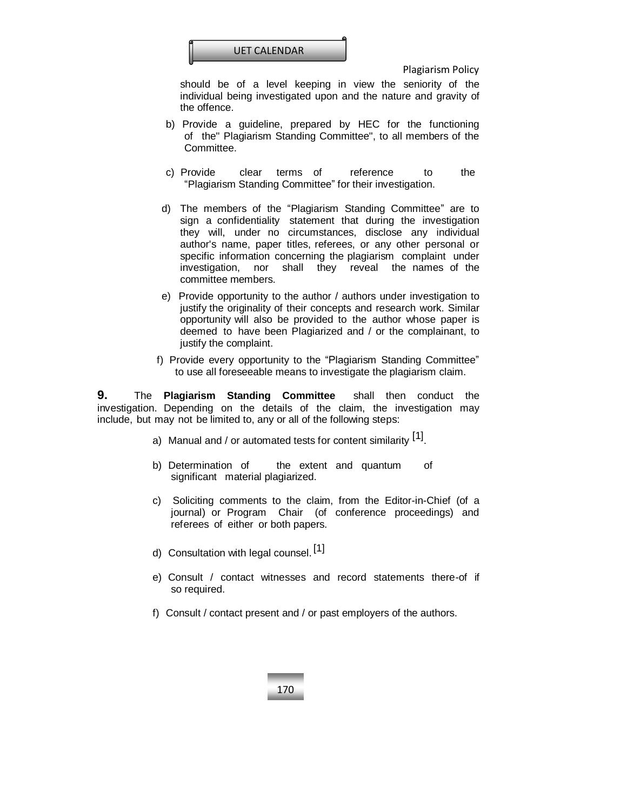

should be of a level keeping in view the seniority of the individual being investigated upon and the nature and gravity of the offence.

- b) Provide a guideline, prepared by HEC for the functioning of the" Plagiarism Standing Committee", to all members of the Committee.
- c) Provide clear terms of reference to the "Plagiarism Standing Committee" for their investigation.
- d) The members of the "Plagiarism Standing Committee" are to sign a confidentiality statement that during the investigation they will, under no circumstances, disclose any individual author's name, paper titles, referees, or any other personal or specific information concerning the plagiarism complaint under investigation, nor shall they reveal the names of the committee members.
- e) Provide opportunity to the author / authors under investigation to justify the originality of their concepts and research work. Similar opportunity will also be provided to the author whose paper is deemed to have been Plagiarized and / or the complainant, to justify the complaint.
- f) Provide every opportunity to the "Plagiarism Standing Committee" to use all foreseeable means to investigate the plagiarism claim.

**9.** The **Plagiarism Standing Committee** shall then conduct the investigation. Depending on the details of the claim, the investigation may include, but may not be limited to, any or all of the following steps:

- a) Manual and / or automated tests for content similarity <sup>[1]</sup>.
- b) Determination of the extent and quantum of significant material plagiarized.
- c) Soliciting comments to the claim, from the Editor-in-Chief (of a journal) or Program Chair (of conference proceedings) and referees of either or both papers.
- d) Consultation with legal counsel. [1]
- e) Consult / contact witnesses and record statements there-of if so required.
- f) Consult / contact present and / or past employers of the authors.

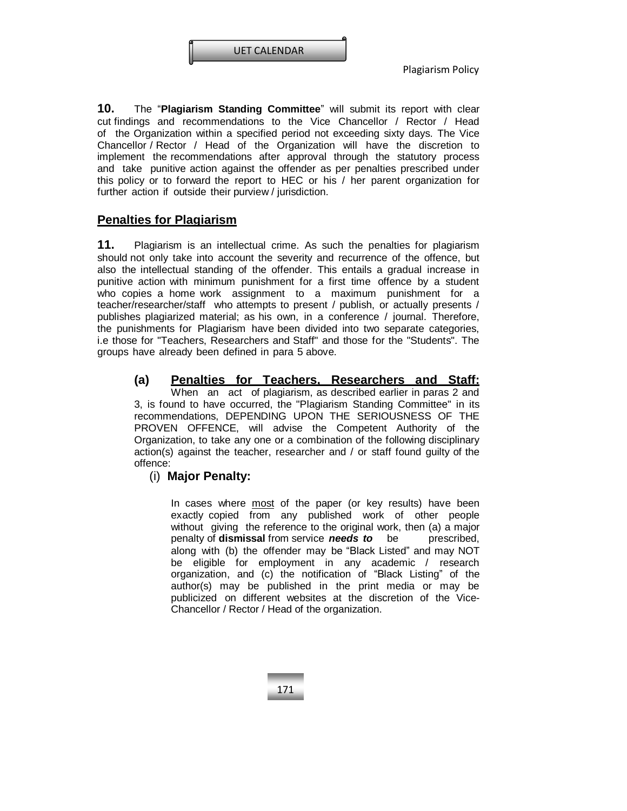

**10.** The "**Plagiarism Standing Committee**" will submit its report with clear cut findings and recommendations to the Vice Chancellor / Rector / Head of the Organization within a specified period not exceeding sixty days. The Vice Chancellor / Rector / Head of the Organization will have the discretion to implement the recommendations after approval through the statutory process and take punitive action against the offender as per penalties prescribed under this policy or to forward the report to HEC or his / her parent organization for further action if outside their purview / jurisdiction.

# **Penalties for Plagiarism**

**11.** Plagiarism is an intellectual crime. As such the penalties for plagiarism should not only take into account the severity and recurrence of the offence, but also the intellectual standing of the offender. This entails a gradual increase in punitive action with minimum punishment for a first time offence by a student who copies a home work assignment to a maximum punishment for a teacher/researcher/staff who attempts to present / publish, or actually presents / publishes plagiarized material; as his own, in a conference / journal. Therefore, the punishments for Plagiarism have been divided into two separate categories, i.e those for "Teachers, Researchers and Staff" and those for the "Students". The groups have already been defined in para 5 above.

#### **(a) Penalties for Teachers, Researchers and Staff:**

When an act of plagiarism, as described earlier in paras 2 and 3, is found to have occurred, the "Plagiarism Standing Committee" in its recommendations, DEPENDING UPON THE SERIOUSNESS OF THE PROVEN OFFENCE, will advise the Competent Authority of the Organization, to take any one or a combination of the following disciplinary action(s) against the teacher, researcher and / or staff found guilty of the offence:

## (i) **Major Penalty:**

In cases where most of the paper (or key results) have been exactly copied from any published work of other people without giving the reference to the original work, then (a) a major penalty of **dismissal** from service *needs to* be prescribed, along with (b) the offender may be "Black Listed" and may NOT be eligible for employment in any academic / research organization, and (c) the notification of "Black Listing" of the author(s) may be published in the print media or may be publicized on different websites at the discretion of the Vice-Chancellor / Rector / Head of the organization.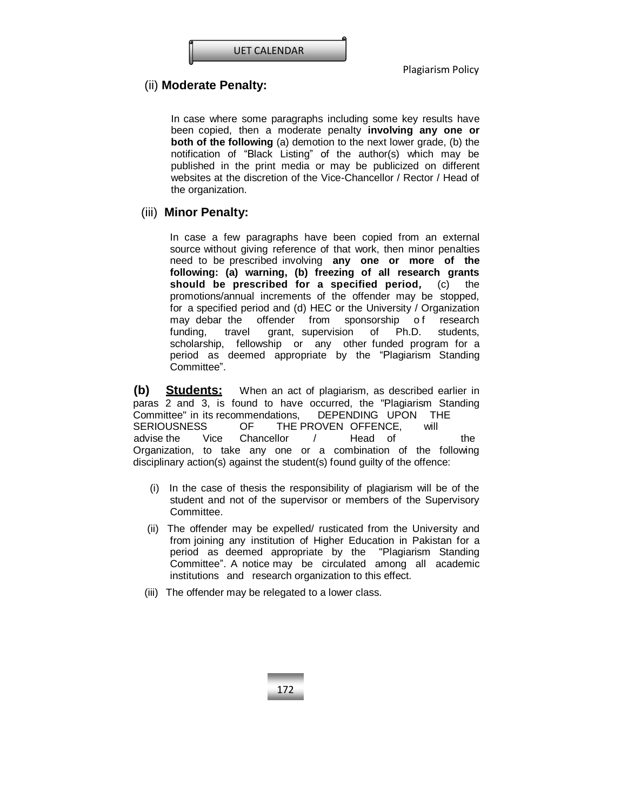

# (ii) **Moderate Penalty:**

In case where some paragraphs including some key results have been copied, then a moderate penalty **involving any one or both of the following** (a) demotion to the next lower grade, (b) the notification of "Black Listing" of the author(s) which may be published in the print media or may be publicized on different websites at the discretion of the Vice-Chancellor / Rector / Head of the organization.

#### (iii) **Minor Penalty:**

In case a few paragraphs have been copied from an external source without giving reference of that work, then minor penalties need to be prescribed involving **any one or more of the following: (a) warning, (b) freezing of all research grants should be prescribed for a specified period***,* (c) the promotions/annual increments of the offender may be stopped, for a specified period and (d) HEC or the University / Organization may debar the offender from sponsorship of research funding, travel grant, supervision of Ph.D. students, scholarship, fellowship or any other funded program for a period as deemed appropriate by the "Plagiarism Standing Committee".

**(b) Students:** When an act of plagiarism, as described earlier in paras 2 and 3, is found to have occurred, the "Plagiarism Standing Committee" in its recommendations, DEPENDING UPON THE SERIOUSNESS OF THE PROVEN OFFENCE, will advise the Vice Chancellor / Head of the Organization, to take any one or a combination of the following disciplinary action(s) against the student(s) found guilty of the offence:

- (i) In the case of thesis the responsibility of plagiarism will be of the student and not of the supervisor or members of the Supervisory Committee.
- (ii) The offender may be expelled/ rusticated from the University and from joining any institution of Higher Education in Pakistan for a period as deemed appropriate by the "Plagiarism Standing Committee". A notice may be circulated among all academic institutions and research organization to this effect.
- (iii) The offender may be relegated to a lower class.

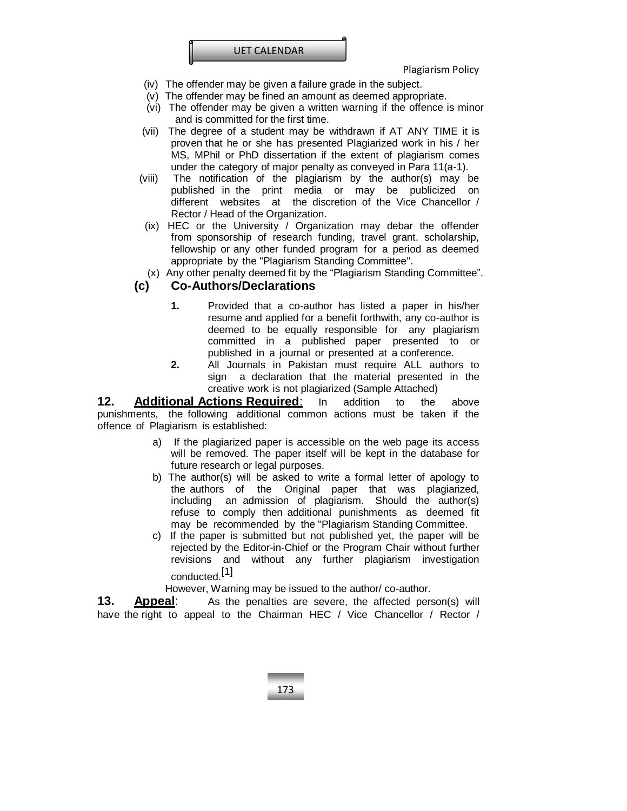

- (iv) The offender may be given a failure grade in the subject.
- (v) The offender may be fined an amount as deemed appropriate.
- (vi) The offender may be given a written warning if the offence is minor and is committed for the first time.
- (vii) The degree of a student may be withdrawn if AT ANY TIME it is proven that he or she has presented Plagiarized work in his / her MS, MPhil or PhD dissertation if the extent of plagiarism comes under the category of major penalty as conveyed in Para 11(a-1).
- (viii) The notification of the plagiarism by the author(s) may be published in the print media or may be publicized on different websites at the discretion of the Vice Chancellor / Rector / Head of the Organization.
- (ix) HEC or the University / Organization may debar the offender from sponsorship of research funding, travel grant, scholarship, fellowship or any other funded program for a period as deemed appropriate by the "Plagiarism Standing Committee".
- (x) Any other penalty deemed fit by the "Plagiarism Standing Committee".

## **(c) Co-Authors/Declarations**

- **1.** Provided that a co-author has listed a paper in his/her resume and applied for a benefit forthwith, any co-author is deemed to be equally responsible for any plagiarism committed in a published paper presented to or published in a journal or presented at a conference.
- **2.** All Journals in Pakistan must require ALL authors to sign a declaration that the material presented in the creative work is not plagiarized (Sample Attached)

#### **12. Additional Actions Required**: In addition to the above punishments, the following additional common actions must be taken if the offence of Plagiarism is established:

- a) If the plagiarized paper is accessible on the web page its access will be removed. The paper itself will be kept in the database for future research or legal purposes.
- b) The author(s) will be asked to write a formal letter of apology to the authors of the Original paper that was plagiarized, including an admission of plagiarism. Should the author(s) refuse to comply then additional punishments as deemed fit may be recommended by the "Plagiarism Standing Committee.
- c) If the paper is submitted but not published yet, the paper will be rejected by the Editor-in-Chief or the Program Chair without further revisions and without any further plagiarism investigation conducted. [1]

However, Warning may be issued to the author/ co-author.

**13. Appeal**: As the penalties are severe, the affected person(s) will have the right to appeal to the Chairman HEC / Vice Chancellor / Rector /

173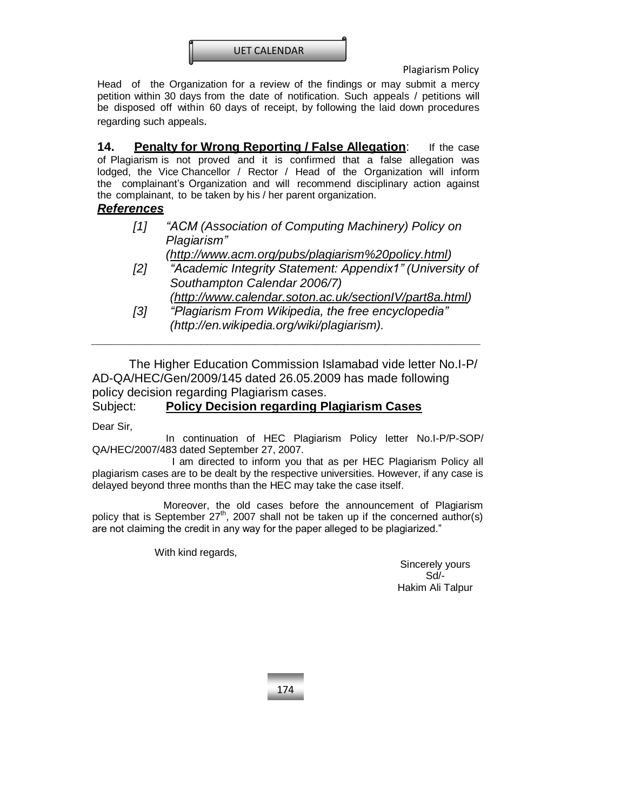

Head of the Organization for a review of the findings or may submit a mercy petition within 30 days from the date of notification. Such appeals / petitions will be disposed off within 60 days of receipt, by following the laid down procedures regarding such appeals.

**14. Penalty for Wrong Reporting / False Allegation**: If the case of Plagiarism is not proved and it is confirmed that a false allegation was lodged, the Vice Chancellor / Rector / Head of the Organization will inform the complainant's Organization and will recommend disciplinary action against the complainant, to be taken by his / her parent organization.

# *References*

| [1] | "ACM (Association of Computing Machinery) Policy on<br>Plagiarism" |
|-----|--------------------------------------------------------------------|
|     | (http://www.acm.org/pubs/plagiarism%20policy.html)                 |
| [2] | "Academic Integrity Statement: Appendix1" (University of           |
|     | Southampton Calendar 2006/7)                                       |
|     | (http://www.calendar.soton.ac.uk/sectionlV/part8a.html)            |
| [3] | "Plagiarism From Wikipedia, the free encyclopedia"                 |
|     | (http://en.wikipedia.org/wiki/plagiarism).                         |
|     |                                                                    |

The Higher Education Commission Islamabad vide letter No.I-P/ AD-QA/HEC/Gen/2009/145 dated 26.05.2009 has made following policy decision regarding Plagiarism cases.

Subject: **Policy Decision regarding Plagiarism Cases**

Dear Sir,

In continuation of HEC Plagiarism Policy letter No.I-P/P-SOP/ QA/HEC/2007/483 dated September 27, 2007.

 I am directed to inform you that as per HEC Plagiarism Policy all plagiarism cases are to be dealt by the respective universities. However, if any case is delayed beyond three months than the HEC may take the case itself.

 Moreover, the old cases before the announcement of Plagiarism policy that is September  $27^{th}$ , 2007 shall not be taken up if the concerned author(s) are not claiming the credit in any way for the paper alleged to be plagiarized."

With kind regards,

Sincerely yours Sd/- Hakim Ali Talpur

174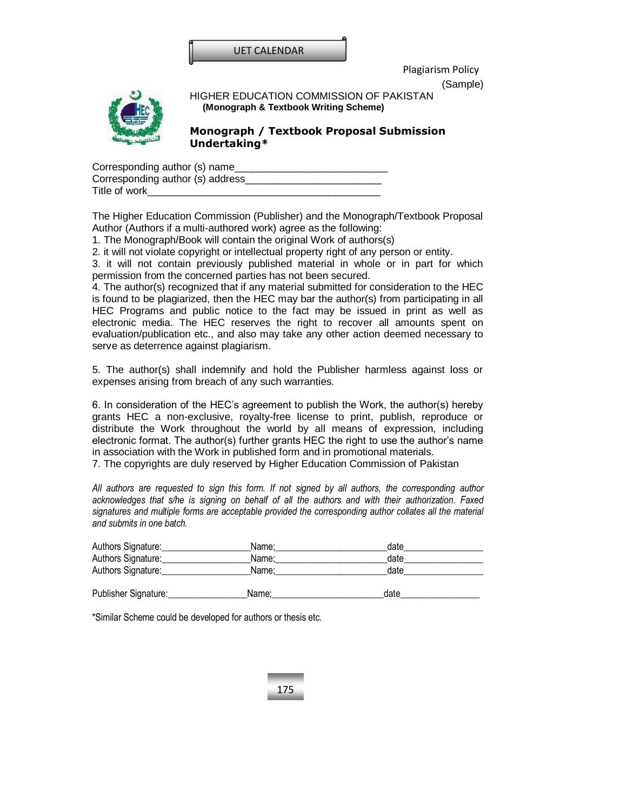

(Sample)



HIGHER EDUCATION COMMISSION OF PAKISTAN **(Monograph & Textbook Writing Scheme)**

## **Monograph / Textbook Proposal Submission Undertaking\***

| Corresponding author (s) name     |  |
|-----------------------------------|--|
| Corresponding author (s) address_ |  |
| Title of work                     |  |

The Higher Education Commission (Publisher) and the Monograph/Textbook Proposal Author (Authors if a multi-authored work) agree as the following:

1. The Monograph/Book will contain the original Work of authors(s)

2. it will not violate copyright or intellectual property right of any person or entity.

3. it will not contain previously published material in whole or in part for which permission from the concerned parties has not been secured.

4. The author(s) recognized that if any material submitted for consideration to the HEC is found to be plagiarized, then the HEC may bar the author(s) from participating in all HEC Programs and public notice to the fact may be issued in print as well as electronic media. The HEC reserves the right to recover all amounts spent on evaluation/publication etc., and also may take any other action deemed necessary to serve as deterrence against plagiarism.

5. The author(s) shall indemnify and hold the Publisher harmless against loss or expenses arising from breach of any such warranties.

6. In consideration of the HEC's agreement to publish the Work, the author(s) hereby grants HEC a non-exclusive, royalty-free license to print, publish, reproduce or distribute the Work throughout the world by all means of expression, including electronic format. The author(s) further grants HEC the right to use the author's name in association with the Work in published form and in promotional materials.

7. The copyrights are duly reserved by Higher Education Commission of Pakistan

*All authors are requested to sign this form. If not signed by all authors, the corresponding author acknowledges that s/he is signing on behalf of all the authors and with their authorization. Faxed signatures and multiple forms are acceptable provided the corresponding author collates all the material and submits in one batch.*

| Authors Signature:   | Name: | date |  |
|----------------------|-------|------|--|
| Authors Signature:   | Name: | date |  |
| Authors Signature:   | Name: | date |  |
| Publisher Signature: | Name: | date |  |

175

\*Similar Scheme could be developed for authors or thesis etc.